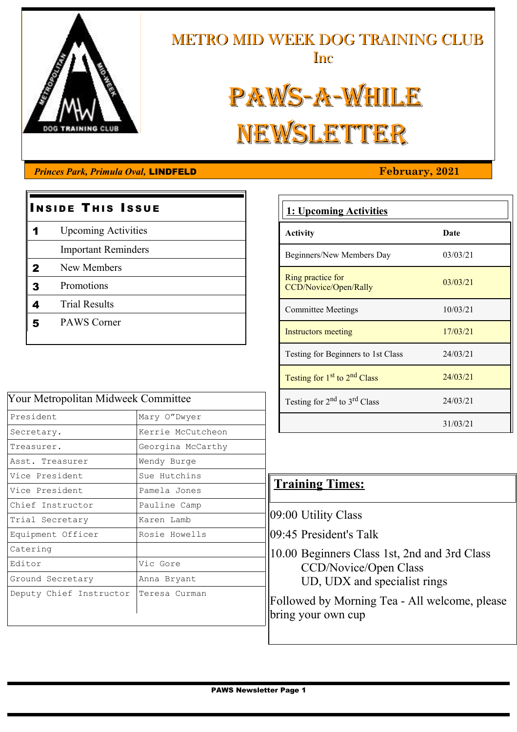

# METRO MID WEEK DOG TRAINING CLUB Inc

# PAWS-A-WHILE NEWSLETTER

#### *Princes Park, Primula Oval, LINDFELD* **February, 2021**

# **INSIDE THIS ISSUE** 1 Upcoming Activities Important Reminders 2 New Members 3 Promotions 4 Trial Results 5 PAWS Corner

| Your Metropolitan Midweek Committee |                   |  |  |  |
|-------------------------------------|-------------------|--|--|--|
| President                           | Mary O"Dwyer      |  |  |  |
| Secretary.                          | Kerrie McCutcheon |  |  |  |
| Treasurer.                          | Georgina McCarthy |  |  |  |
| Asst. Treasurer                     | Wendy Burge       |  |  |  |
| Vice President                      | Sue Hutchins      |  |  |  |
| Vice President                      | Pamela Jones      |  |  |  |
| Chief Instructor                    | Pauline Camp      |  |  |  |
| Trial Secretary                     | Karen Lamb        |  |  |  |
| Equipment Officer                   | Rosie Howells     |  |  |  |
| Catering                            |                   |  |  |  |
| Editor                              | Vic Gore          |  |  |  |
| Ground Secretary                    | Anna Bryant       |  |  |  |
| Deputy Chief Instructor             | Teresa Curman     |  |  |  |
|                                     |                   |  |  |  |

# **1: Upcoming Activities Activity Date** Beginners/New Members Day 03/03/21

| Ring practice for<br>CCD/Novice/Open/Rally | 03/03/21 |
|--------------------------------------------|----------|
| <b>Committee Meetings</b>                  | 10/03/21 |
| Instructors meeting                        | 17/03/21 |
| Testing for Beginners to 1st Class         | 24/03/21 |
| Testing for $1st$ to $2nd$ Class           | 24/03/21 |
| Testing for $2nd$ to $3rd$ Class           | 24/03/21 |
|                                            | 31/03/21 |

### **Training Times:**

09:00 Utility Class

09:45 President's Talk

10.00 Beginners Class 1st, 2nd and 3rd Class CCD/Novice/Open Class UD, UDX and specialist rings

Followed by Morning Tea - All welcome, please bring your own cup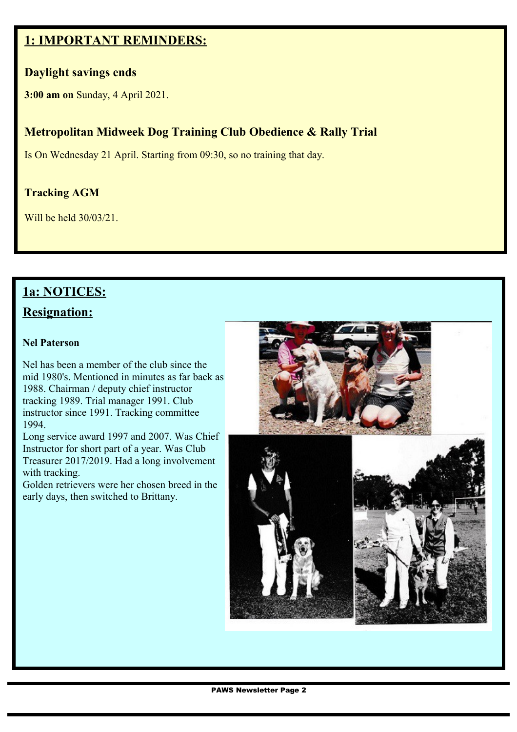#### **1: IMPORTANT REMINDERS:**

#### **Daylight savings ends**

**3:00 am on** Sunday, 4 April 2021.

#### **Metropolitan Midweek Dog Training Club Obedience & Rally Trial**

Is On Wednesday 21 April. Starting from 09:30, so no training that day.

#### **Tracking AGM**

Will be held 30/03/21.

#### **1a: NOTICES:**

#### **Resignation:**

#### **Nel Paterson**

Nel has been a member of the club since the mid 1980's. Mentioned in minutes as far back as 1988. Chairman / deputy chief instructor tracking 1989. Trial manager 1991. Club instructor since 1991. Tracking committee 1994.

Long service award 1997 and 2007. Was Chief Instructor for short part of a year. Was Club Treasurer 2017/2019. Had a long involvement with tracking.

Golden retrievers were her chosen breed in the early days, then switched to Brittany.



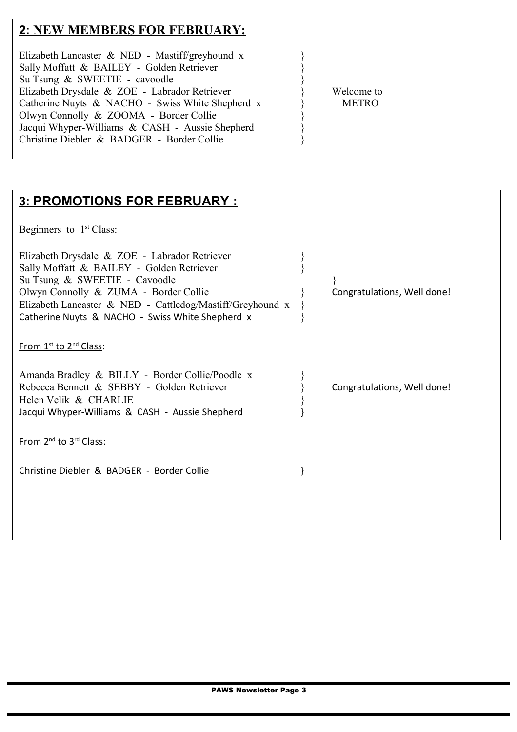## **2:NEW MEMBERS FOR FEBRUARY:**

## **3:PROMOTIONS FOR FEBRUARY :**

Beginners to  $1<sup>st</sup> Class$ :

| Elizabeth Drysdale & ZOE - Labrador Retriever<br>Sally Moffatt & BAILEY - Golden Retriever<br>Su Tsung & SWEETIE - Cavoodle<br>Olwyn Connolly & ZUMA - Border Collie<br>Elizabeth Lancaster & NED - Cattledog/Mastiff/Greyhound x<br>Catherine Nuyts & NACHO - Swiss White Shepherd x | Congratulations, Well done! |
|---------------------------------------------------------------------------------------------------------------------------------------------------------------------------------------------------------------------------------------------------------------------------------------|-----------------------------|
| From 1 <sup>st</sup> to 2 <sup>nd</sup> Class:                                                                                                                                                                                                                                        |                             |
| Amanda Bradley & BILLY - Border Collie/Poodle x<br>Rebecca Bennett & SEBBY - Golden Retriever<br>Helen Velik & CHARLIE<br>Jacqui Whyper-Williams & CASH - Aussie Shepherd                                                                                                             | Congratulations, Well done! |
| From 2 <sup>nd</sup> to 3 <sup>rd</sup> Class:                                                                                                                                                                                                                                        |                             |
| Christine Diebler & BADGER - Border Collie                                                                                                                                                                                                                                            |                             |
|                                                                                                                                                                                                                                                                                       |                             |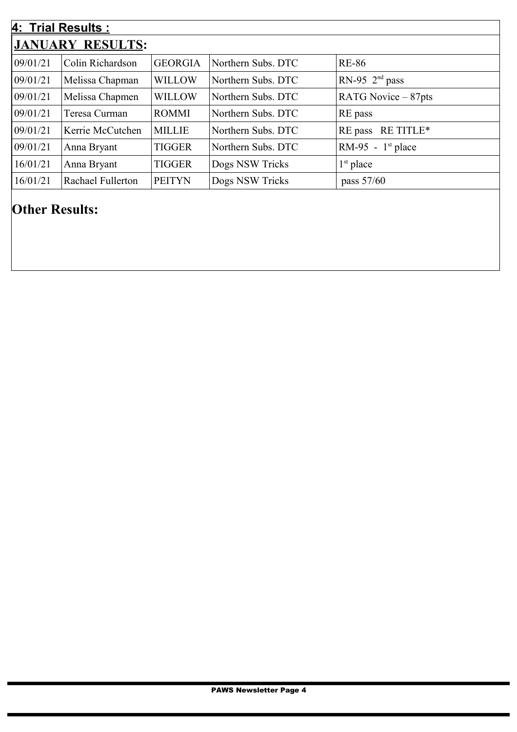| 4: Trial Results :      |                   |                |                    |                     |  |  |  |
|-------------------------|-------------------|----------------|--------------------|---------------------|--|--|--|
| <b>JANUARY RESULTS:</b> |                   |                |                    |                     |  |  |  |
| 09/01/21                | Colin Richardson  | <b>GEORGIA</b> | Northern Subs. DTC | <b>RE-86</b>        |  |  |  |
| 09/01/21                | Melissa Chapman   | <b>WILLOW</b>  | Northern Subs. DTC | RN-95 $2nd$ pass    |  |  |  |
| 09/01/21                | Melissa Chapmen   | <b>WILLOW</b>  | Northern Subs. DTC | RATG Novice – 87pts |  |  |  |
| 09/01/21                | Teresa Curman     | <b>ROMMI</b>   | Northern Subs. DTC | RE pass             |  |  |  |
| 09/01/21                | Kerrie McCutchen  | <b>MILLIE</b>  | Northern Subs. DTC | RE pass RE TITLE*   |  |  |  |
| 09/01/21                | Anna Bryant       | <b>TIGGER</b>  | Northern Subs. DTC | RM-95 - $1st$ place |  |  |  |
| 16/01/21                | Anna Bryant       | <b>TIGGER</b>  | Dogs NSW Tricks    | $1st$ place         |  |  |  |
| 16/01/21                | Rachael Fullerton | <b>PEITYN</b>  | Dogs NSW Tricks    | pass 57/60          |  |  |  |
|                         |                   |                |                    |                     |  |  |  |

# **Other Results:**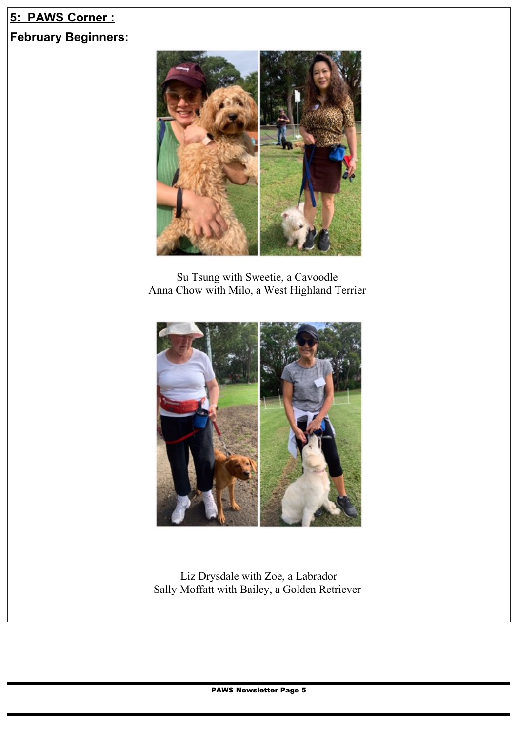## **5: PAWS Corner : February Beginners:**



Su Tsung with Sweetie, a Cavoodle Anna Chow with Milo, a West Highland Terrier



Liz Drysdale with Zoe, a Labrador Sally Moffatt with Bailey, a Golden Retriever